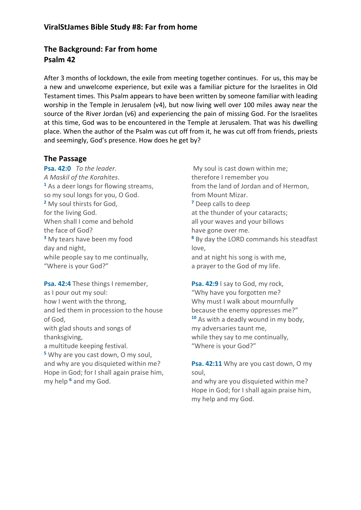# **The Background: Far from home Psalm 42**

After 3 months of lockdown, the exile from meeting together continues. For us, this may be a new and unwelcome experience, but exile was a familiar picture for the Israelites in Old Testament times. This Psalm appears to have been written by someone familiar with leading worship in the Temple in Jerusalem (v4), but now living well over 100 miles away near the source of the River Jordan (v6) and experiencing the pain of missing God. For the Israelites at this time, God was to be encountered in the Temple at Jerusalem. That was his dwelling place. When the author of the Psalm was cut off from it, he was cut off from friends, priests and seemingly, God's presence. How does he get by?

#### **The Passage**

**Psa. 42:0** *To the leader. A Maskil of the Korahites*. **<sup>1</sup>** As a deer longs for flowing streams, so my soul longs for you, O God. **<sup>2</sup>** My soul thirsts for God, for the living God. When shall I come and behold the face of God? **<sup>3</sup>** My tears have been my food day and night, while people say to me continually, "Where is your God?"

**Psa. 42:4** These things I remember, as I pour out my soul: how I went with the throng, and led them in procession to the house of God, with glad shouts and songs of thanksgiving, a multitude keeping festival. **<sup>5</sup>** Why are you cast down, O my soul, and why are you disquieted within me? Hope in God; for I shall again praise him, my help **<sup>6</sup>** and my God.

My soul is cast down within me; therefore I remember you from the land of Jordan and of Hermon, from Mount Mizar. **<sup>7</sup>** Deep calls to deep at the thunder of your cataracts; all your waves and your billows have gone over me. **<sup>8</sup>** By day the LORD commands his steadfast love, and at night his song is with me, a prayer to the God of my life.

**Psa. 42:9** I say to God, my rock, "Why have you forgotten me? Why must I walk about mournfully because the enemy oppresses me?" **<sup>10</sup>** As with a deadly wound in my body, my adversaries taunt me, while they say to me continually, "Where is your God?"

**Psa. 42:11** Why are you cast down, O my soul,

and why are you disquieted within me? Hope in God; for I shall again praise him, my help and my God.